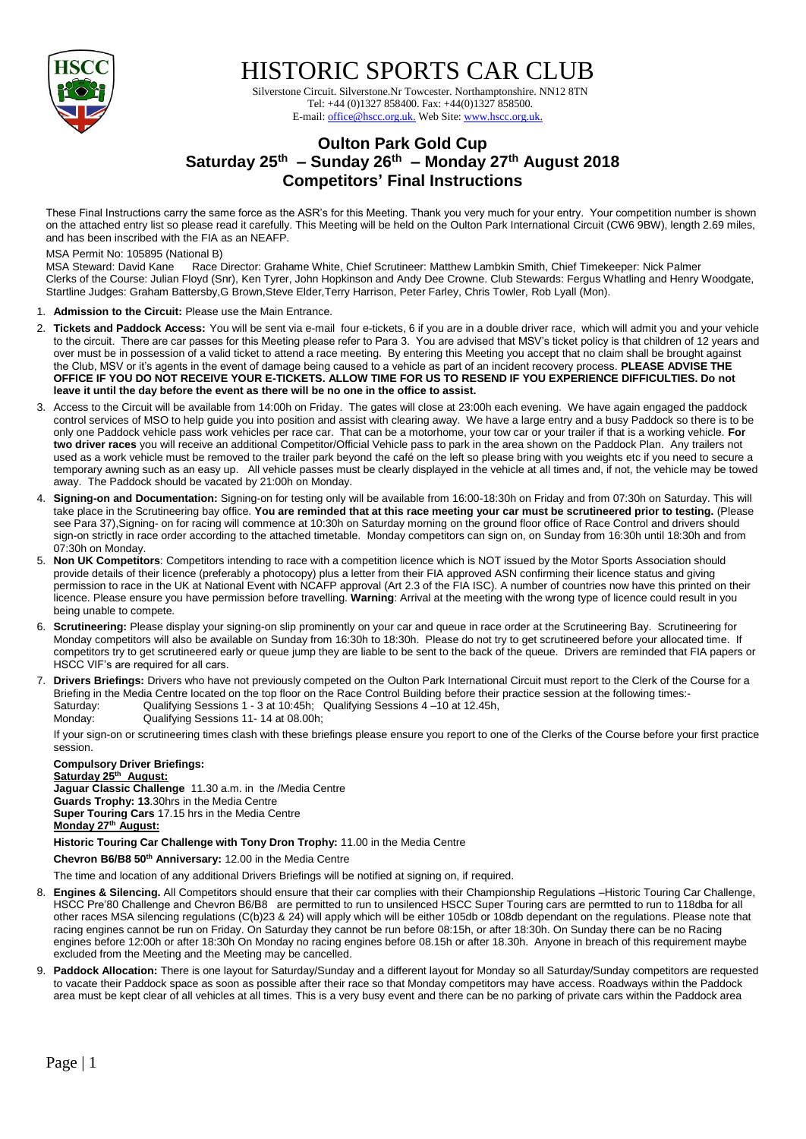

HISTORIC SPORTS CAR CLUB

 Silverstone Circuit. Silverstone.Nr Towcester. Northamptonshire. NN12 8TN Tel: +44 (0)1327 858400. Fax: +44(0)1327 858500. E-mail: office@hscc.org.uk. Web Site: www.hscc.org.uk.

# **Oulton Park Gold Cup Saturday 25 th – Sunday 26 th – Monday 27 th August 2018 Competitors' Final Instructions**

These Final Instructions carry the same force as the ASR's for this Meeting. Thank you very much for your entry. Your competition number is shown on the attached entry list so please read it carefully. This Meeting will be held on the Oulton Park International Circuit (CW6 9BW), length 2.69 miles, and has been inscribed with the FIA as an NEAFP.

MSA Permit No: 105895 (National B)<br>MSA Steward: David Kane Race Race Director: Grahame White, Chief Scrutineer: Matthew Lambkin Smith, Chief Timekeeper: Nick Palmer Clerks of the Course: Julian Floyd (Snr), Ken Tyrer, John Hopkinson and Andy Dee Crowne. Club Stewards: Fergus Whatling and Henry Woodgate, Startline Judges: Graham Battersby,G Brown,Steve Elder,Terry Harrison, Peter Farley, Chris Towler, Rob Lyall (Mon).

- 1. **Admission to the Circuit:** Please use the Main Entrance.
- 2. **Tickets and Paddock Access:** You will be sent via e-mail four e-tickets, 6 if you are in a double driver race, which will admit you and your vehicle to the circuit. There are car passes for this Meeting please refer to Para 3. You are advised that MSV's ticket policy is that children of 12 years and over must be in possession of a valid ticket to attend a race meeting. By entering this Meeting you accept that no claim shall be brought against the Club, MSV or it's agents in the event of damage being caused to a vehicle as part of an incident recovery process. **PLEASE ADVISE THE OFFICE IF YOU DO NOT RECEIVE YOUR E-TICKETS. ALLOW TIME FOR US TO RESEND IF YOU EXPERIENCE DIFFICULTIES. Do not leave it until the day before the event as there will be no one in the office to assist.**
- 3. Access to the Circuit will be available from 14:00h on Friday. The gates will close at 23:00h each evening. We have again engaged the paddock control services of MSO to help guide you into position and assist with clearing away. We have a large entry and a busy Paddock so there is to be only one Paddock vehicle pass work vehicles per race car. That can be a motorhome, your tow car or your trailer if that is a working vehicle. **For two driver races** you will receive an additional Competitor/Official Vehicle pass to park in the area shown on the Paddock Plan. Any trailers not used as a work vehicle must be removed to the trailer park beyond the café on the left so please bring with you weights etc if you need to secure a temporary awning such as an easy up. All vehicle passes must be clearly displayed in the vehicle at all times and, if not, the vehicle may be towed away. The Paddock should be vacated by 21:00h on Monday.
- 4. **Signing-on and Documentation:** Signing-on for testing only will be available from 16:00-18:30h on Friday and from 07:30h on Saturday. This will take place in the Scrutineering bay office. **You are reminded that at this race meeting your car must be scrutineered prior to testing.** (Please see Para 37),Signing- on for racing will commence at 10:30h on Saturday morning on the ground floor office of Race Control and drivers should sign-on strictly in race order according to the attached timetable. Monday competitors can sign on, on Sunday from 16:30h until 18:30h and from 07:30h on Monday.
- 5. **Non UK Competitors**: Competitors intending to race with a competition licence which is NOT issued by the Motor Sports Association should provide details of their licence (preferably a photocopy) plus a letter from their FIA approved ASN confirming their licence status and giving permission to race in the UK at National Event with NCAFP approval (Art 2.3 of the FIA ISC). A number of countries now have this printed on their licence. Please ensure you have permission before travelling. **Warning**: Arrival at the meeting with the wrong type of licence could result in you being unable to compete*.*
- 6. **Scrutineering:** Please display your signing-on slip prominently on your car and queue in race order at the Scrutineering Bay. Scrutineering for Monday competitors will also be available on Sunday from 16:30h to 18:30h. Please do not try to get scrutineered before your allocated time. If competitors try to get scrutineered early or queue jump they are liable to be sent to the back of the queue. Drivers are reminded that FIA papers or HSCC VIF's are required for all cars.
- 7. **Drivers Briefings:** Drivers who have not previously competed on the Oulton Park International Circuit must report to the Clerk of the Course for a Briefing in the Media Centre located on the top floor on the Race Control Building before their practice session at the following times:- Saturday: Qualifying Sessions 1 - 3 at 10:45h; Qualifying Sessions 4 –10 at 12.45h, Monday: Qualifying Sessions 11- 14 at 08.00h;

If your sign-on or scrutineering times clash with these briefings please ensure you report to one of the Clerks of the Course before your first practice session.

### **Compulsory Driver Briefings: Saturday 25 th August: Jaguar Classic Challenge** 11.30 a.m. in the /Media Centre **Guards Trophy: 13**.30hrs in the Media Centre **Super Touring Cars** 17.15 hrs in the Media Centre **Monday 27th August:**

## **Historic Touring Car Challenge with Tony Dron Trophy:** 11.00 in the Media Centre

**Chevron B6/B8 50th Anniversary:** 12.00 in the Media Centre

The time and location of any additional Drivers Briefings will be notified at signing on, if required.

- 8. **Engines & Silencing.** All Competitors should ensure that their car complies with their Championship Regulations –Historic Touring Car Challenge, HSCC Pre'80 Challenge and Chevron B6/B8 are permitted to run to unsilenced HSCC Super Touring cars are permtted to run to 118dba for all other races MSA silencing regulations (C(b)23 & 24) will apply which will be either 105db or 108db dependant on the regulations. Please note that racing engines cannot be run on Friday. On Saturday they cannot be run before 08:15h, or after 18:30h. On Sunday there can be no Racing engines before 12:00h or after 18:30h On Monday no racing engines before 08.15h or after 18.30h. Anyone in breach of this requirement maybe excluded from the Meeting and the Meeting may be cancelled.
- 9. **Paddock Allocation:** There is one layout for Saturday/Sunday and a different layout for Monday so all Saturday/Sunday competitors are requested to vacate their Paddock space as soon as possible after their race so that Monday competitors may have access. Roadways within the Paddock area must be kept clear of all vehicles at all times. This is a very busy event and there can be no parking of private cars within the Paddock area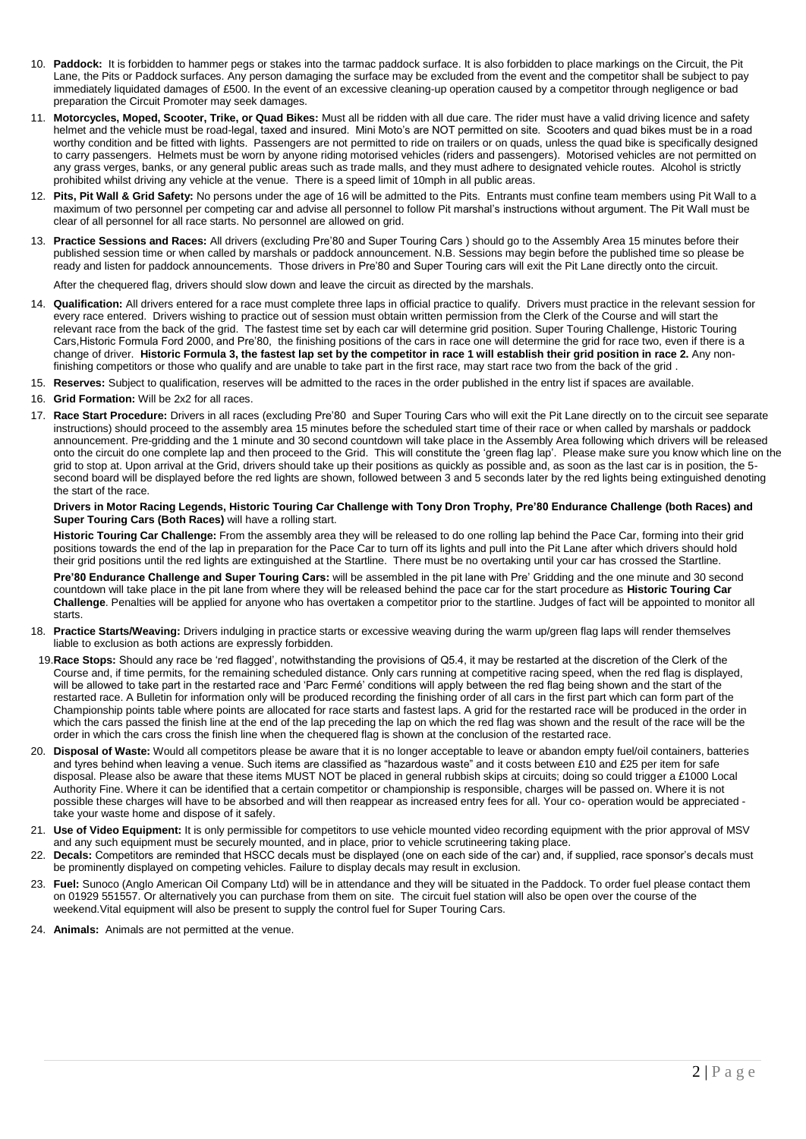- 10. **Paddock:** It is forbidden to hammer pegs or stakes into the tarmac paddock surface. It is also forbidden to place markings on the Circuit, the Pit Lane, the Pits or Paddock surfaces. Any person damaging the surface may be excluded from the event and the competitor shall be subject to pay immediately liquidated damages of £500. In the event of an excessive cleaning-up operation caused by a competitor through negligence or bad preparation the Circuit Promoter may seek damages.
- 11. **Motorcycles, Moped, Scooter, Trike, or Quad Bikes:** Must all be ridden with all due care. The rider must have a valid driving licence and safety helmet and the vehicle must be road-legal, taxed and insured. Mini Moto's are NOT permitted on site. Scooters and quad bikes must be in a road worthy condition and be fitted with lights. Passengers are not permitted to ride on trailers or on quads, unless the quad bike is specifically designed to carry passengers. Helmets must be worn by anyone riding motorised vehicles (riders and passengers). Motorised vehicles are not permitted on any grass verges, banks, or any general public areas such as trade malls, and they must adhere to designated vehicle routes. Alcohol is strictly prohibited whilst driving any vehicle at the venue. There is a speed limit of 10mph in all public areas.
- 12. **Pits, Pit Wall & Grid Safety:** No persons under the age of 16 will be admitted to the Pits. Entrants must confine team members using Pit Wall to a maximum of two personnel per competing car and advise all personnel to follow Pit marshal's instructions without argument. The Pit Wall must be clear of all personnel for all race starts. No personnel are allowed on grid.
- 13. **Practice Sessions and Races:** All drivers (excluding Pre'80 and Super Touring Cars ) should go to the Assembly Area 15 minutes before their published session time or when called by marshals or paddock announcement. N.B. Sessions may begin before the published time so please be ready and listen for paddock announcements. Those drivers in Pre'80 and Super Touring cars will exit the Pit Lane directly onto the circuit.

After the chequered flag, drivers should slow down and leave the circuit as directed by the marshals.

- 14. **Qualification:** All drivers entered for a race must complete three laps in official practice to qualify. Drivers must practice in the relevant session for every race entered. Drivers wishing to practice out of session must obtain written permission from the Clerk of the Course and will start the relevant race from the back of the grid. The fastest time set by each car will determine grid position. Super Touring Challenge, Historic Touring Cars,Historic Formula Ford 2000, and Pre'80, the finishing positions of the cars in race one will determine the grid for race two, even if there is a change of driver. **Historic Formula 3, the fastest lap set by the competitor in race 1 will establish their grid position in race 2.** Any nonfinishing competitors or those who qualify and are unable to take part in the first race, may start race two from the back of the grid .
- 15. **Reserves:** Subject to qualification, reserves will be admitted to the races in the order published in the entry list if spaces are available.
- 16. **Grid Formation:** Will be 2x2 for all races.
- 17. **Race Start Procedure:** Drivers in all races (excluding Pre'80 and Super Touring Cars who will exit the Pit Lane directly on to the circuit see separate instructions) should proceed to the assembly area 15 minutes before the scheduled start time of their race or when called by marshals or paddock announcement. Pre-gridding and the 1 minute and 30 second countdown will take place in the Assembly Area following which drivers will be released onto the circuit do one complete lap and then proceed to the Grid. This will constitute the 'green flag lap'. Please make sure you know which line on the grid to stop at. Upon arrival at the Grid, drivers should take up their positions as quickly as possible and, as soon as the last car is in position, the 5 second board will be displayed before the red lights are shown, followed between 3 and 5 seconds later by the red lights being extinguished denoting the start of the race.

#### **Drivers in Motor Racing Legends, Historic Touring Car Challenge with Tony Dron Trophy, Pre'80 Endurance Challenge (both Races) and Super Touring Cars (Both Races)** will have a rolling start.

**Historic Touring Car Challenge:** From the assembly area they will be released to do one rolling lap behind the Pace Car, forming into their grid positions towards the end of the lap in preparation for the Pace Car to turn off its lights and pull into the Pit Lane after which drivers should hold their grid positions until the red lights are extinguished at the Startline. There must be no overtaking until your car has crossed the Startline.

**Pre'80 Endurance Challenge and Super Touring Cars:** will be assembled in the pit lane with Pre' Gridding and the one minute and 30 second countdown will take place in the pit lane from where they will be released behind the pace car for the start procedure as **Historic Touring Car Challenge**. Penalties will be applied for anyone who has overtaken a competitor prior to the startline. Judges of fact will be appointed to monitor all starts.

- 18. **Practice Starts/Weaving:** Drivers indulging in practice starts or excessive weaving during the warm up/green flag laps will render themselves liable to exclusion as both actions are expressly forbidden.
- 19.**Race Stops:** Should any race be 'red flagged', notwithstanding the provisions of Q5.4, it may be restarted at the discretion of the Clerk of the Course and, if time permits, for the remaining scheduled distance. Only cars running at competitive racing speed, when the red flag is displayed, will be allowed to take part in the restarted race and 'Parc Fermé' conditions will apply between the red flag being shown and the start of the restarted race. A Bulletin for information only will be produced recording the finishing order of all cars in the first part which can form part of the Championship points table where points are allocated for race starts and fastest laps. A grid for the restarted race will be produced in the order in which the cars passed the finish line at the end of the lap preceding the lap on which the red flag was shown and the result of the race will be the order in which the cars cross the finish line when the chequered flag is shown at the conclusion of the restarted race.
- 20. **Disposal of Waste:** Would all competitors please be aware that it is no longer acceptable to leave or abandon empty fuel/oil containers, batteries and tyres behind when leaving a venue. Such items are classified as "hazardous waste" and it costs between £10 and £25 per item for safe disposal. Please also be aware that these items MUST NOT be placed in general rubbish skips at circuits; doing so could trigger a £1000 Local Authority Fine. Where it can be identified that a certain competitor or championship is responsible, charges will be passed on. Where it is not possible these charges will have to be absorbed and will then reappear as increased entry fees for all. Your co- operation would be appreciated take your waste home and dispose of it safely.
- 21. **Use of Video Equipment:** It is only permissible for competitors to use vehicle mounted video recording equipment with the prior approval of MSV and any such equipment must be securely mounted, and in place, prior to vehicle scrutineering taking place.
- 22. **Decals:** Competitors are reminded that HSCC decals must be displayed (one on each side of the car) and, if supplied, race sponsor's decals must be prominently displayed on competing vehicles. Failure to display decals may result in exclusion.
- 23. **Fuel:** Sunoco (Anglo American Oil Company Ltd) will be in attendance and they will be situated in the Paddock. To order fuel please contact them on 01929 551557. Or alternatively you can purchase from them on site. The circuit fuel station will also be open over the course of the weekend. Vital equipment will also be present to supply the control fuel for Super Touring Cars.
- 24. **Animals:** Animals are not permitted at the venue.